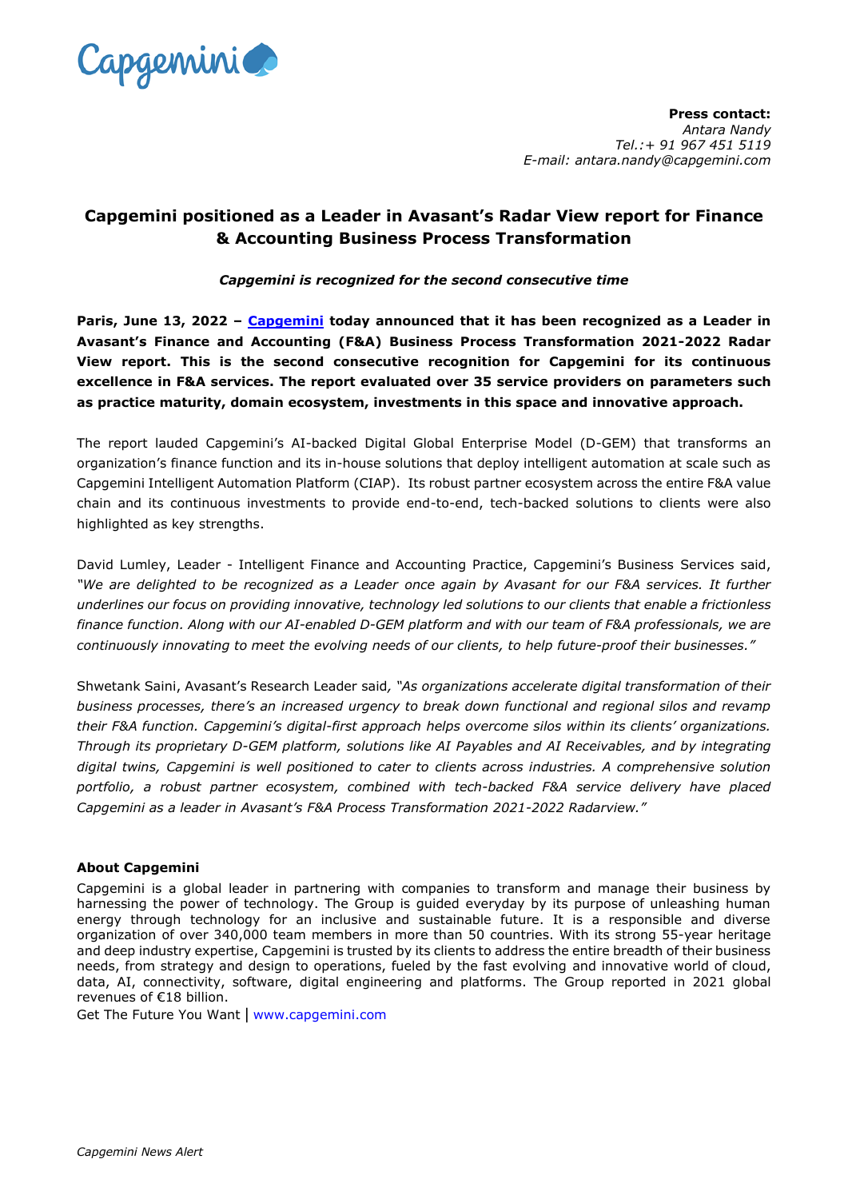

**Press contact:**  *Antara Nandy Tel.:+ 91 967 451 5119 E-mail: antara.nandy@capgemini.com*

## **Capgemini positioned as a Leader in Avasant's Radar View report for Finance & Accounting Business Process Transformation**

## *Capgemini is recognized for the second consecutive time*

**Paris, June 13, 2022 – [Capgemini](http://www.capgemini.com/) today announced that it has been recognized as a Leader in Avasant's Finance and Accounting (F&A) Business Process Transformation 2021-2022 Radar View report. This is the second consecutive recognition for Capgemini for its continuous excellence in F&A services. The report evaluated over 35 service providers on parameters such as practice maturity, domain ecosystem, investments in this space and innovative approach.**

The report lauded Capgemini's AI-backed Digital Global Enterprise Model (D-GEM) that transforms an organization's finance function and its in-house solutions that deploy intelligent automation at scale such as Capgemini Intelligent Automation Platform (CIAP). Its robust partner ecosystem across the entire F&A value chain and its continuous investments to provide end-to-end, tech-backed solutions to clients were also highlighted as key strengths.

David Lumley, Leader - Intelligent Finance and Accounting Practice, Capgemini's Business Services said, *"We are delighted to be recognized as a Leader once again by Avasant for our F&A services. It further underlines our focus on providing innovative, technology led solutions to our clients that enable a frictionless finance function. Along with our AI-enabled D-GEM platform and with our team of F&A professionals, we are continuously innovating to meet the evolving needs of our clients, to help future-proof their businesses."*

Shwetank Saini, Avasant's Research Leader said*, "As organizations accelerate digital transformation of their business processes, there's an increased urgency to break down functional and regional silos and revamp their F&A function. Capgemini's digital-first approach helps overcome silos within its clients' organizations. Through its proprietary D-GEM platform, solutions like AI Payables and AI Receivables, and by integrating digital twins, Capgemini is well positioned to cater to clients across industries. A comprehensive solution portfolio, a robust partner ecosystem, combined with tech-backed F&A service delivery have placed Capgemini as a leader in Avasant's F&A Process Transformation 2021-2022 Radarview."*

## **About Capgemini**

Capgemini is a global leader in partnering with companies to transform and manage their business by harnessing the power of technology. The Group is guided everyday by its purpose of unleashing human energy through technology for an inclusive and sustainable future. It is a responsible and diverse organization of over 340,000 team members in more than 50 countries. With its strong 55-year heritage and deep industry expertise, Capgemini is trusted by its clients to address the entire breadth of their business needs, from strategy and design to operations, fueled by the fast evolving and innovative world of cloud, data, AI, connectivity, software, digital engineering and platforms. The Group reported in 2021 global revenues of €18 billion.

Get The Future You Want | [www.capgemini.com](http://www.capgemini.com/#_blank)